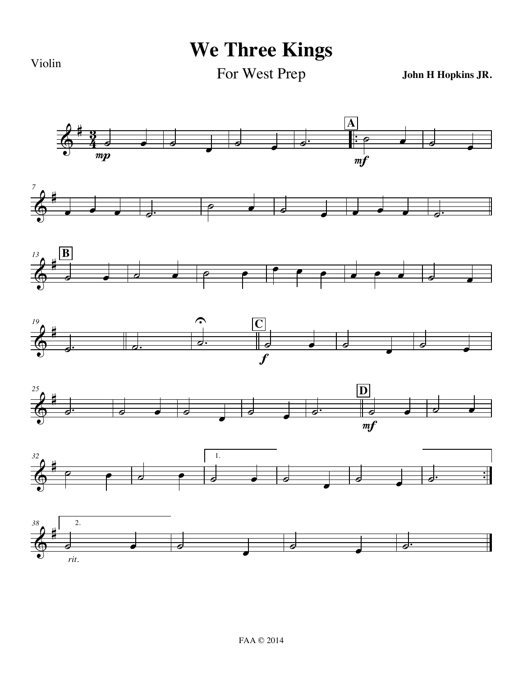Violin

**We Three Kings**

For West Prep

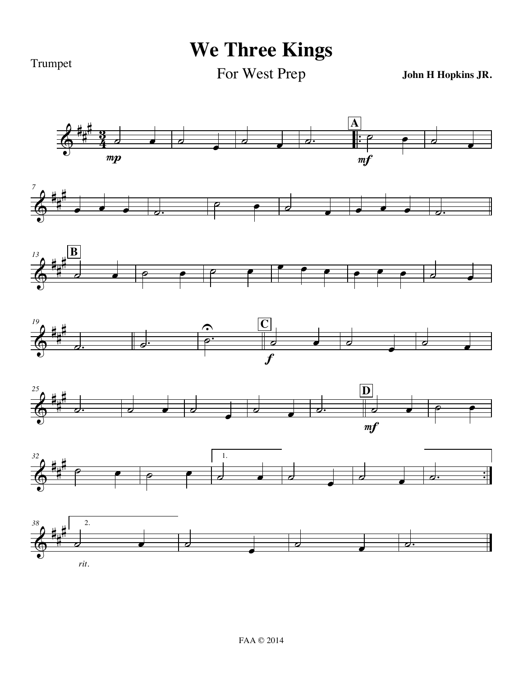Trumpet

**We Three Kings**

For West Prep

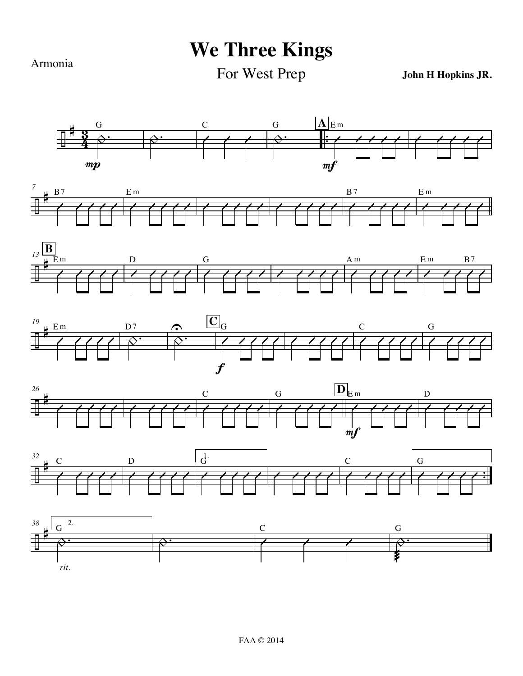Armonia

## **We Three Kings**

For West Prep